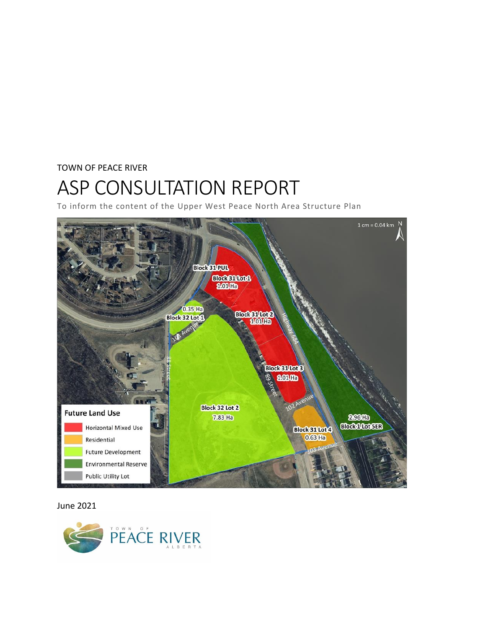#### TOWN OF PEACE RIVER

# ASP CONSULTATION REPORT

To inform the content of the Upper West Peace North Area Structure Plan



#### June 2021

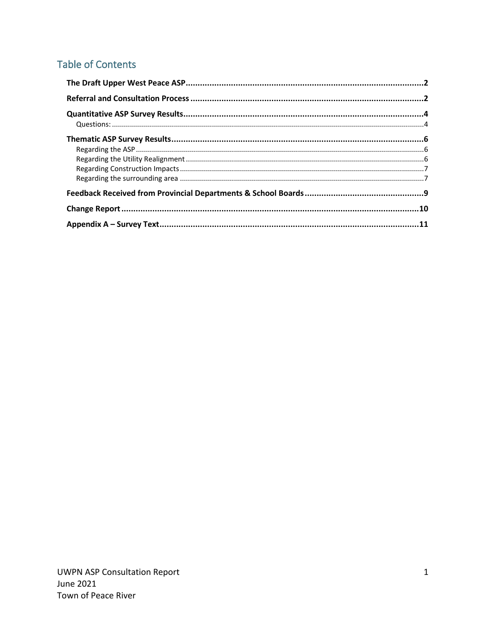# Table of Contents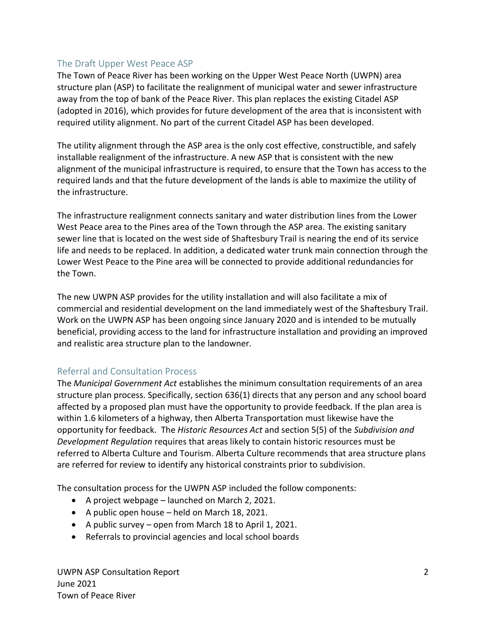# <span id="page-2-0"></span>The Draft Upper West Peace ASP

The Town of Peace River has been working on the Upper West Peace North (UWPN) area structure plan (ASP) to facilitate the realignment of municipal water and sewer infrastructure away from the top of bank of the Peace River. This plan replaces the existing Citadel ASP (adopted in 2016), which provides for future development of the area that is inconsistent with required utility alignment. No part of the current Citadel ASP has been developed.

The utility alignment through the ASP area is the only cost effective, constructible, and safely installable realignment of the infrastructure. A new ASP that is consistent with the new alignment of the municipal infrastructure is required, to ensure that the Town has access to the required lands and that the future development of the lands is able to maximize the utility of the infrastructure.

The infrastructure realignment connects sanitary and water distribution lines from the Lower West Peace area to the Pines area of the Town through the ASP area. The existing sanitary sewer line that is located on the west side of Shaftesbury Trail is nearing the end of its service life and needs to be replaced. In addition, a dedicated water trunk main connection through the Lower West Peace to the Pine area will be connected to provide additional redundancies for the Town.

The new UWPN ASP provides for the utility installation and will also facilitate a mix of commercial and residential development on the land immediately west of the Shaftesbury Trail. Work on the UWPN ASP has been ongoing since January 2020 and is intended to be mutually beneficial, providing access to the land for infrastructure installation and providing an improved and realistic area structure plan to the landowner.

# <span id="page-2-1"></span>Referral and Consultation Process

The *Municipal Government Act* establishes the minimum consultation requirements of an area structure plan process. Specifically, section 636(1) directs that any person and any school board affected by a proposed plan must have the opportunity to provide feedback. If the plan area is within 1.6 kilometers of a highway, then Alberta Transportation must likewise have the opportunity for feedback. The *Historic Resources Act* and section 5(5) of the *Subdivision and Development Regulation* requires that areas likely to contain historic resources must be referred to Alberta Culture and Tourism. Alberta Culture recommends that area structure plans are referred for review to identify any historical constraints prior to subdivision.

The consultation process for the UWPN ASP included the follow components:

- A project webpage launched on March 2, 2021.
- A public open house held on March 18, 2021.
- A public survey open from March 18 to April 1, 2021.
- Referrals to provincial agencies and local school boards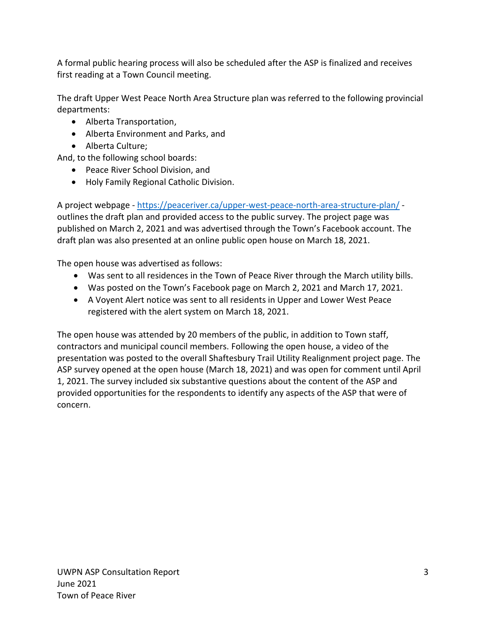A formal public hearing process will also be scheduled after the ASP is finalized and receives first reading at a Town Council meeting.

The draft Upper West Peace North Area Structure plan was referred to the following provincial departments:

- Alberta Transportation,
- Alberta Environment and Parks, and
- Alberta Culture;

And, to the following school boards:

- Peace River School Division, and
- Holy Family Regional Catholic Division.

A project webpage - <https://peaceriver.ca/upper-west-peace-north-area-structure-plan/> outlines the draft plan and provided access to the public survey. The project page was published on March 2, 2021 and was advertised through the Town's Facebook account. The draft plan was also presented at an online public open house on March 18, 2021.

The open house was advertised as follows:

- Was sent to all residences in the Town of Peace River through the March utility bills.
- Was posted on the Town's Facebook page on March 2, 2021 and March 17, 2021.
- A Voyent Alert notice was sent to all residents in Upper and Lower West Peace registered with the alert system on March 18, 2021.

The open house was attended by 20 members of the public, in addition to Town staff, contractors and municipal council members. Following the open house, a video of the presentation was posted to the overall Shaftesbury Trail Utility Realignment project page. The ASP survey opened at the open house (March 18, 2021) and was open for comment until April 1, 2021. The survey included six substantive questions about the content of the ASP and provided opportunities for the respondents to identify any aspects of the ASP that were of concern.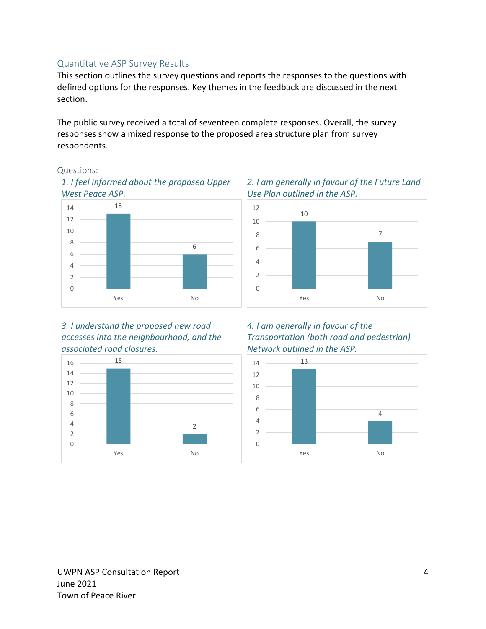# <span id="page-4-0"></span>Quantitative ASP Survey Results

This section outlines the survey questions and reports the responses to the questions with defined options for the responses. Key themes in the feedback are discussed in the next section.

The public survey received a total of seventeen complete responses. Overall, the survey responses show a mixed response to the proposed area structure plan from survey respondents.

#### <span id="page-4-1"></span>Questions:





*3. I understand the proposed new road accesses into the neighbourhood, and the associated road closures.*



#### *2. I am generally in favour of the Future Land Use Plan outlined in the ASP.*



#### *4. I am generally in favour of the Transportation (both road and pedestrian) Network outlined in the ASP.*

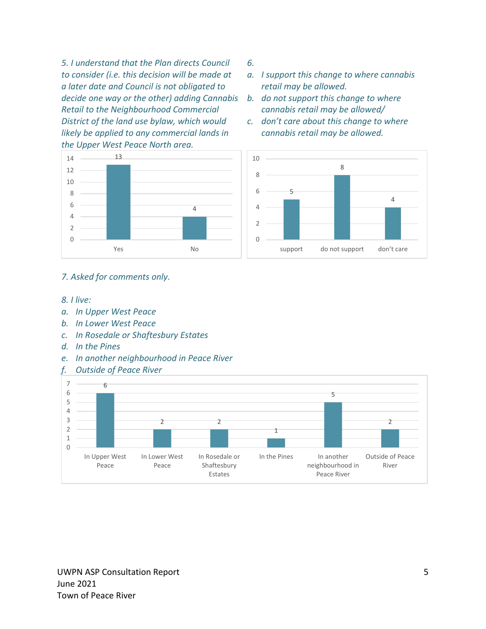*5. I understand that the Plan directs Council to consider (i.e. this decision will be made at a later date and Council is not obligated to decide one way or the other) adding Cannabis Retail to the Neighbourhood Commercial District of the land use bylaw, which would likely be applied to any commercial lands in the Upper West Peace North area.*



- *a. I support this change to where cannabis retail may be allowed.*
- *b. do not support this change to where cannabis retail may be allowed/*
- *c. don't care about this change to where cannabis retail may be allowed.*





#### *7. Asked for comments only.*

#### *8. I live:*

- *a. In Upper West Peace*
- *b. In Lower West Peace*
- *c. In Rosedale or Shaftesbury Estates*
- *d. In the Pines*
- *e. In another neighbourhood in Peace River*



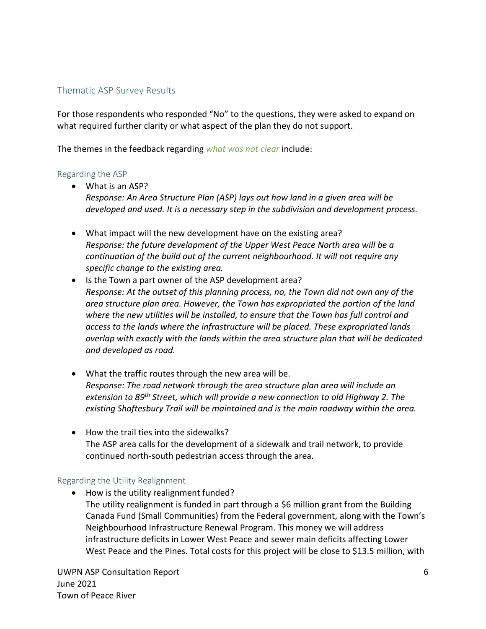# <span id="page-6-0"></span>Thematic ASP Survey Results

For those respondents who responded "No" to the questions, they were asked to expand on what required further clarity or what aspect of the plan they do not support.

The themes in the feedback regarding *what was not clear* include:

#### <span id="page-6-1"></span>Regarding the ASP

- What is an ASP? *Response: An Area Structure Plan (ASP) lays out how land in a given area will be developed and used. It is a necessary step in the subdivision and development process.*
- What impact will the new development have on the existing area? *Response: the future development of the Upper West Peace North area will be a continuation of the build out of the current neighbourhood. It will not require any specific change to the existing area.*
- Is the Town a part owner of the ASP development area? *Response: At the outset of this planning process, no, the Town did not own any of the area structure plan area. However, the Town has expropriated the portion of the land where the new utilities will be installed, to ensure that the Town has full control and access to the lands where the infrastructure will be placed. These expropriated lands overlap with exactly with the lands within the area structure plan that will be dedicated and developed as road.*
- What the traffic routes through the new area will be. *Response: The road network through the area structure plan area will include an extension to 89th Street, which will provide a new connection to old Highway 2. The existing Shaftesbury Trail will be maintained and is the main roadway within the area.*
- How the trail ties into the sidewalks? The ASP area calls for the development of a sidewalk and trail network, to provide continued north-south pedestrian access through the area.

# <span id="page-6-2"></span>Regarding the Utility Realignment

• How is the utility realignment funded? The utility realignment is funded in part through a \$6 million grant from the Building Canada Fund (Small Communities) from the Federal government, along with the Town's Neighbourhood Infrastructure Renewal Program. This money we will address infrastructure deficits in Lower West Peace and sewer main deficits affecting Lower West Peace and the Pines. Total costs for this project will be close to \$13.5 million, with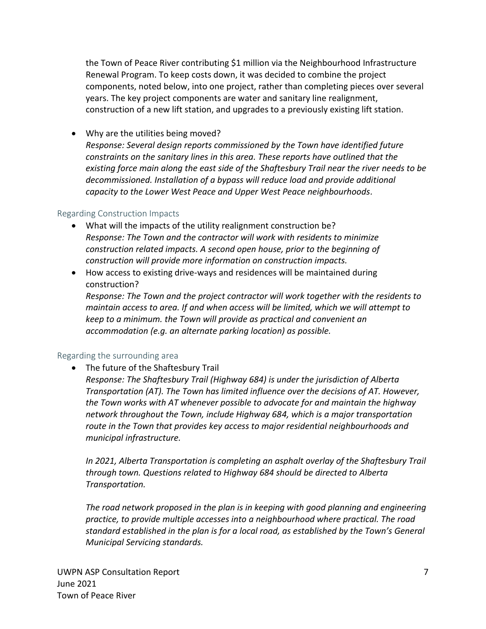the Town of Peace River contributing \$1 million via the Neighbourhood Infrastructure Renewal Program. To keep costs down, it was decided to combine the project components, noted below, into one project, rather than completing pieces over several years. The key project components are water and sanitary line realignment, construction of a new lift station, and upgrades to a previously existing lift station.

• Why are the utilities being moved?

*Response: Several design reports commissioned by the Town have identified future constraints on the sanitary lines in this area. These reports have outlined that the existing force main along the east side of the Shaftesbury Trail near the river needs to be decommissioned. Installation of a bypass will reduce load and provide additional capacity to the Lower West Peace and Upper West Peace neighbourhoods.* 

# <span id="page-7-0"></span>Regarding Construction Impacts

- What will the impacts of the utility realignment construction be? *Response: The Town and the contractor will work with residents to minimize construction related impacts. A second open house, prior to the beginning of construction will provide more information on construction impacts.*
- How access to existing drive-ways and residences will be maintained during construction?

*Response: The Town and the project contractor will work together with the residents to maintain access to area. If and when access will be limited, which we will attempt to keep to a minimum. the Town will provide as practical and convenient an accommodation (e.g. an alternate parking location) as possible.* 

# <span id="page-7-1"></span>Regarding the surrounding area

• The future of the Shaftesbury Trail

*Response: The Shaftesbury Trail (Highway 684) is under the jurisdiction of Alberta Transportation (AT). The Town has limited influence over the decisions of AT. However, the Town works with AT whenever possible to advocate for and maintain the highway network throughout the Town, include Highway 684, which is a major transportation route in the Town that provides key access to major residential neighbourhoods and municipal infrastructure.*

*In 2021, Alberta Transportation is completing an asphalt overlay of the Shaftesbury Trail through town. Questions related to Highway 684 should be directed to Alberta Transportation.* 

*The road network proposed in the plan is in keeping with good planning and engineering practice, to provide multiple accesses into a neighbourhood where practical. The road standard established in the plan is for a local road, as established by the Town's General Municipal Servicing standards.*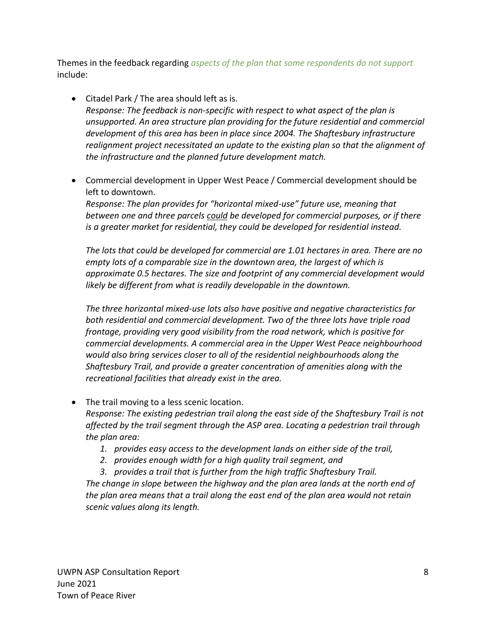Themes in the feedback regarding *aspects of the plan that some respondents do not support* include:

- Citadel Park / The area should left as is. *Response: The feedback is non-specific with respect to what aspect of the plan is unsupported. An area structure plan providing for the future residential and commercial development of this area has been in place since 2004. The Shaftesbury infrastructure realignment project necessitated an update to the existing plan so that the alignment of the infrastructure and the planned future development match.*
- Commercial development in Upper West Peace / Commercial development should be left to downtown.

*Response: The plan provides for "horizontal mixed-use" future use, meaning that between one and three parcels could be developed for commercial purposes, or if there is a greater market for residential, they could be developed for residential instead.* 

*The lots that could be developed for commercial are 1.01 hectares in area. There are no empty lots of a comparable size in the downtown area, the largest of which is approximate 0.5 hectares. The size and footprint of any commercial development would likely be different from what is readily developable in the downtown.*

*The three horizontal mixed-use lots also have positive and negative characteristics for both residential and commercial development. Two of the three lots have triple road frontage, providing very good visibility from the road network, which is positive for commercial developments. A commercial area in the Upper West Peace neighbourhood would also bring services closer to all of the residential neighbourhoods along the Shaftesbury Trail, and provide a greater concentration of amenities along with the recreational facilities that already exist in the area.* 

• The trail moving to a less scenic location.

*Response: The existing pedestrian trail along the east side of the Shaftesbury Trail is not affected by the trail segment through the ASP area. Locating a pedestrian trail through the plan area:*

- *1. provides easy access to the development lands on either side of the trail,*
- *2. provides enough width for a high quality trail segment, and*
- *3. provides a trail that is further from the high traffic Shaftesbury Trail.*

*The change in slope between the highway and the plan area lands at the north end of the plan area means that a trail along the east end of the plan area would not retain scenic values along its length.*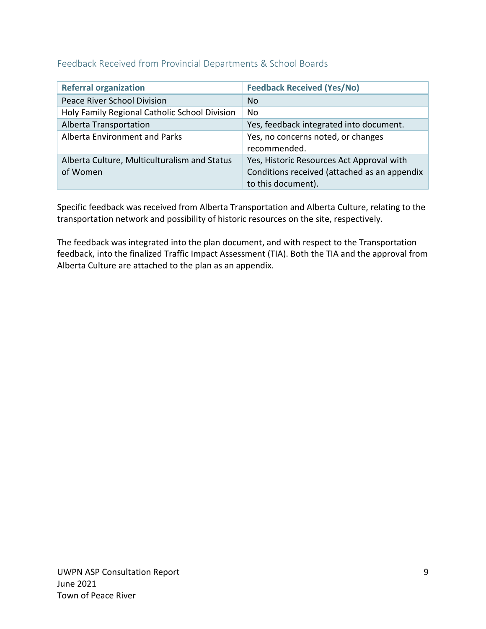# <span id="page-9-0"></span>Feedback Received from Provincial Departments & School Boards

| <b>Referral organization</b>                  | <b>Feedback Received (Yes/No)</b>            |
|-----------------------------------------------|----------------------------------------------|
| Peace River School Division                   | N <sub>o</sub>                               |
| Holy Family Regional Catholic School Division | No                                           |
| Alberta Transportation                        | Yes, feedback integrated into document.      |
| <b>Alberta Environment and Parks</b>          | Yes, no concerns noted, or changes           |
|                                               | recommended.                                 |
| Alberta Culture, Multiculturalism and Status  | Yes, Historic Resources Act Approval with    |
| of Women                                      | Conditions received (attached as an appendix |
|                                               | to this document).                           |

Specific feedback was received from Alberta Transportation and Alberta Culture, relating to the transportation network and possibility of historic resources on the site, respectively.

The feedback was integrated into the plan document, and with respect to the Transportation feedback, into the finalized Traffic Impact Assessment (TIA). Both the TIA and the approval from Alberta Culture are attached to the plan as an appendix.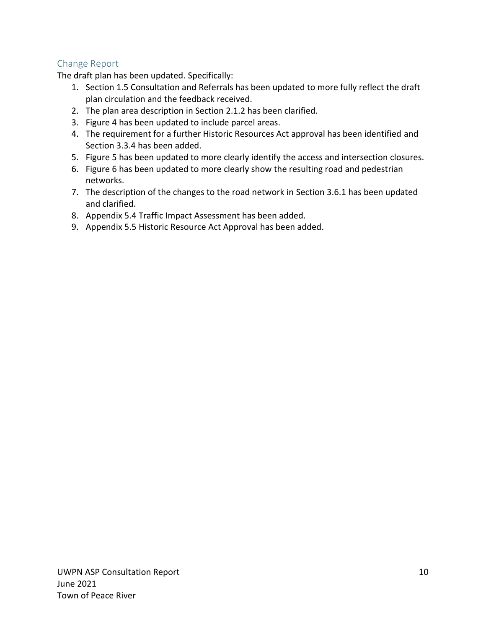# <span id="page-10-0"></span>Change Report

The draft plan has been updated. Specifically:

- 1. Section 1.5 Consultation and Referrals has been updated to more fully reflect the draft plan circulation and the feedback received.
- 2. The plan area description in Section 2.1.2 has been clarified.
- 3. Figure 4 has been updated to include parcel areas.
- 4. The requirement for a further Historic Resources Act approval has been identified and Section 3.3.4 has been added.
- 5. Figure 5 has been updated to more clearly identify the access and intersection closures.
- 6. Figure 6 has been updated to more clearly show the resulting road and pedestrian networks.
- 7. The description of the changes to the road network in Section 3.6.1 has been updated and clarified.
- 8. Appendix 5.4 Traffic Impact Assessment has been added.
- 9. Appendix 5.5 Historic Resource Act Approval has been added.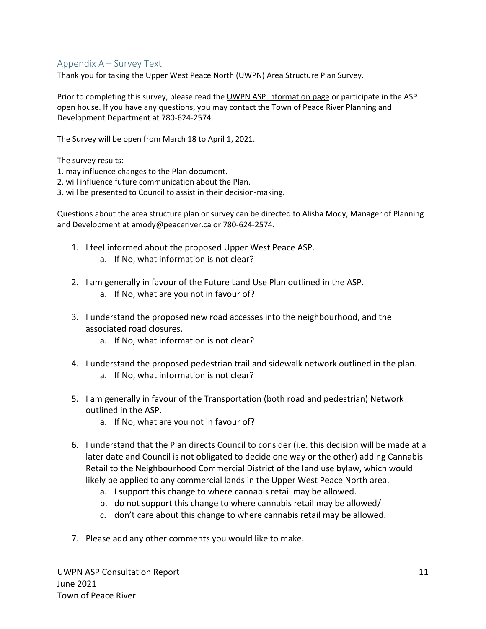# <span id="page-11-0"></span>Appendix A – Survey Text

Thank you for taking the Upper West Peace North (UWPN) Area Structure Plan Survey.

Prior to completing this survey, please read the [UWPN ASP Information](https://peaceriver.ca/upper-west-peace-north-area-structure-plan/) page or participate in the ASP open house. If you have any questions, you may contact the Town of Peace River Planning and Development Department at 780-624-2574.

The Survey will be open from March 18 to April 1, 2021.

The survey results:

1. may influence changes to the Plan document.

2. will influence future communication about the Plan.

3. will be presented to Council to assist in their decision-making.

Questions about the area structure plan or survey can be directed to Alisha Mody, Manager of Planning and Development at [amody@peaceriver.ca](http://amody@peaceriver.ca/) or 780-624-2574.

- 1. I feel informed about the proposed Upper West Peace ASP.
	- a. If No, what information is not clear?
- 2. I am generally in favour of the Future Land Use Plan outlined in the ASP.
	- a. If No, what are you not in favour of?
- 3. I understand the proposed new road accesses into the neighbourhood, and the associated road closures.
	- a. If No, what information is not clear?
- 4. I understand the proposed pedestrian trail and sidewalk network outlined in the plan. a. If No, what information is not clear?
- 5. I am generally in favour of the Transportation (both road and pedestrian) Network outlined in the ASP.
	- a. If No, what are you not in favour of?
- 6. I understand that the Plan directs Council to consider (i.e. this decision will be made at a later date and Council is not obligated to decide one way or the other) adding Cannabis Retail to the Neighbourhood Commercial District of the land use bylaw, which would likely be applied to any commercial lands in the Upper West Peace North area.
	- a. I support this change to where cannabis retail may be allowed.
	- b. do not support this change to where cannabis retail may be allowed/
	- c. don't care about this change to where cannabis retail may be allowed.
- 7. Please add any other comments you would like to make.